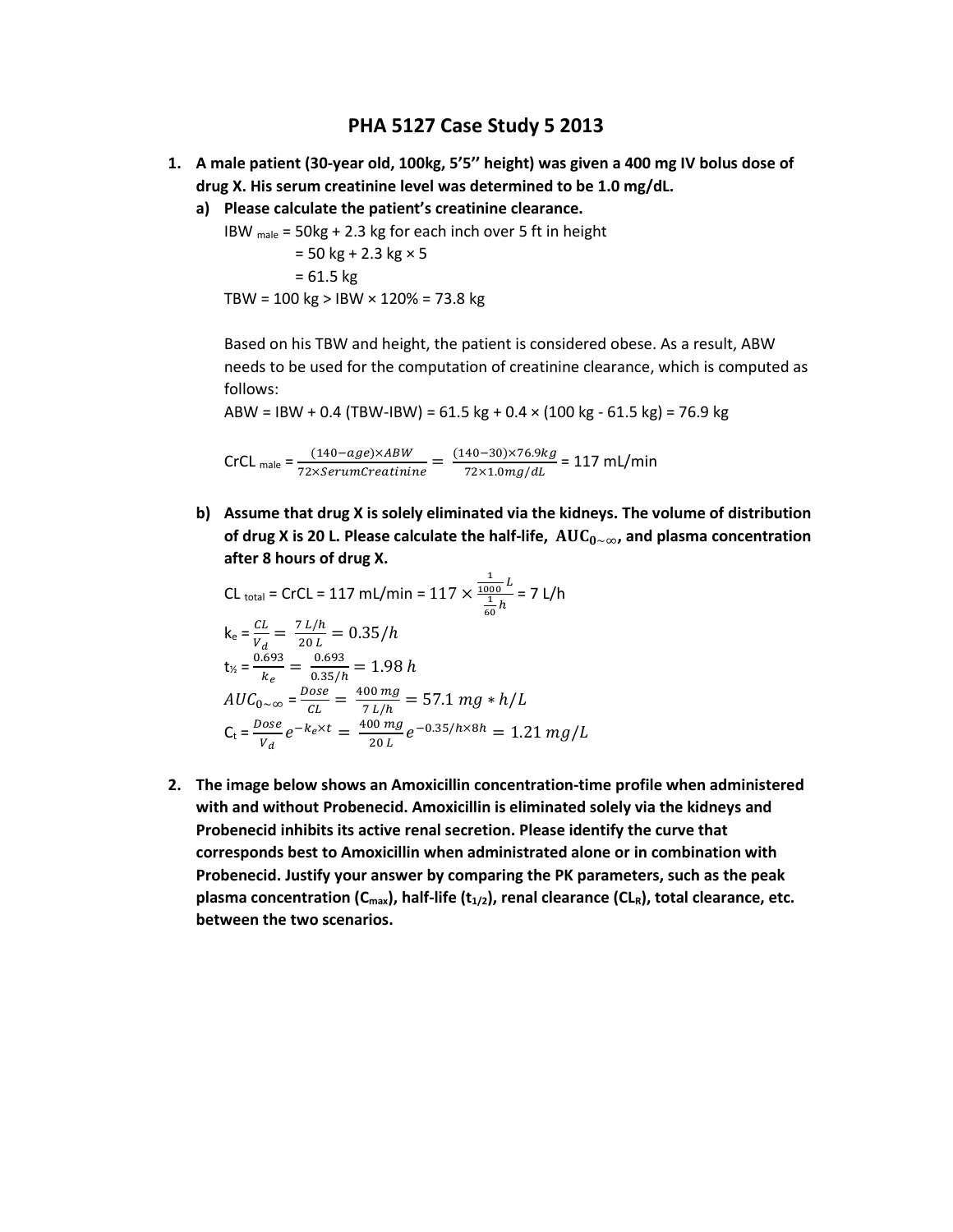# **PHA 5127 Case Study 5 2013**

- **1. A male patient (30-year old, 100kg, 5'5'' height) was given a 400 mg IV bolus dose of drug X. His serum creatinine level was determined to be 1.0 mg/dL.** 
	- **a) Please calculate the patient's creatinine clearance.**

IBW male = 50kg + 2.3 kg for each inch over 5 ft in height

$$
= 50 \text{ kg} + 2.3 \text{ kg} \times 5
$$

$$
= 61.5 \text{ kg}
$$

$$
TBW = 100 \text{ kg} > 1BW \times 120\% = 73.8 \text{ kg}
$$

Based on his TBW and height, the patient is considered obese. As a result, ABW needs to be used for the computation of creatinine clearance, which is computed as follows:

ABW = IBW + 0.4 (TBW-IBW) =  $61.5$  kg + 0.4  $\times$  (100 kg -  $61.5$  kg) = 76.9 kg

 $CrCL$  male  $=\frac{(140 - age) \times ABW}{72 \times SerumCreating} = \frac{(140 - 30) \times 76.9 kg}{72 \times 1.0 mg/dL}$  $\frac{367 \times 10^{12} \text{ mJ}}{72 \times 1.0 \text{ mg/dL}}$  = 117 mL/min

**b) Assume that drug X is solely eliminated via the kidneys. The volume of distribution of drug X is 20 L. Please calculate the half-life,**  $AUC_{0 \sim ∞}$ **, and plasma concentration after 8 hours of drug X.**

CL <sub>total</sub> = CrCL = 117 mL/min = 117 × 
$$
\frac{\frac{1}{1000}L}{\frac{1}{60}h}
$$
 = 7 L/h  
\n
$$
k_e = \frac{CL}{V_d} = \frac{7 L/h}{20 L} = 0.35/h
$$
\n
$$
t_x = \frac{0.693}{k_e} = \frac{0.693}{0.35/h} = 1.98 h
$$
\n
$$
AUC_{0\sim\infty} = \frac{Dose}{CL} = \frac{400 mg}{7 L/h} = 57.1 mg * h/L
$$
\n
$$
C_t = \frac{Dose}{V_d}e^{-k_e \times t} = \frac{400 mg}{20 L}e^{-0.35/h \times 8h} = 1.21 mg/L
$$

**2. The image below shows an Amoxicillin concentration-time profile when administered with and without Probenecid. Amoxicillin is eliminated solely via the kidneys and Probenecid inhibits its active renal secretion. Please identify the curve that corresponds best to Amoxicillin when administrated alone or in combination with Probenecid. Justify your answer by comparing the PK parameters, such as the peak plasma concentration (Cmax), half-life (t1/2), renal clearance (CLR), total clearance, etc. between the two scenarios.**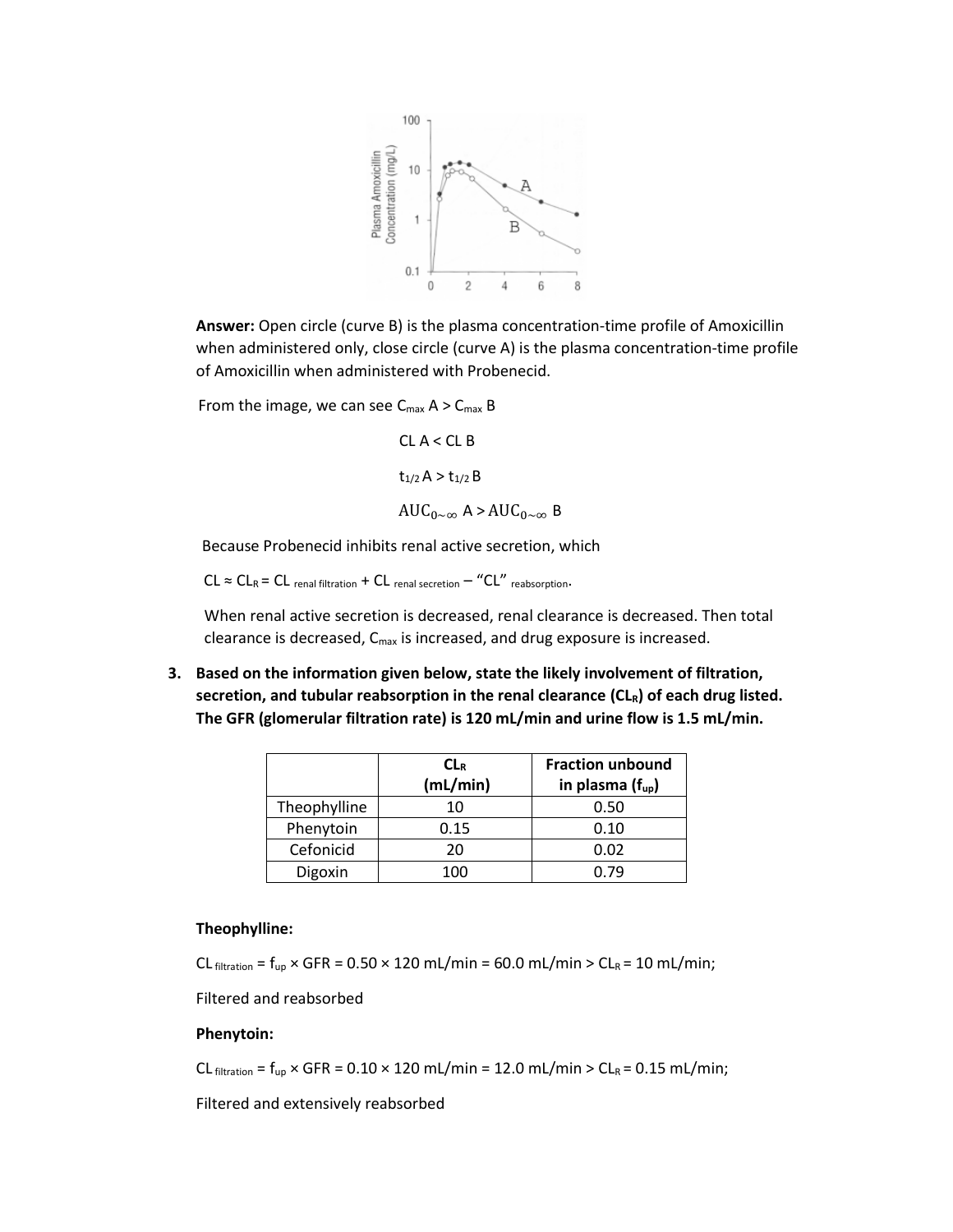

**Answer:** Open circle (curve B) is the plasma concentration-time profile of Amoxicillin when administered only, close circle (curve A) is the plasma concentration-time profile of Amoxicillin when administered with Probenecid.

From the image, we can see  $C_{\text{max}}$  A >  $C_{\text{max}}$  B

 $CL A < CL B$  $t_{1/2}$  A >  $t_{1/2}$  B  $AUC_{0\sim\infty}$  A >  $AUC_{0\sim\infty}$  B

Because Probenecid inhibits renal active secretion, which

 $CL \approx CL_R = CL$  renal filtration + CL renal secretion - "CL" reabsorption.

When renal active secretion is decreased, renal clearance is decreased. Then total clearance is decreased, Cmax is increased, and drug exposure is increased.

**3. Based on the information given below, state the likely involvement of filtration, secretion, and tubular reabsorption in the renal clearance (CLR) of each drug listed. The GFR (glomerular filtration rate) is 120 mL/min and urine flow is 1.5 mL/min.** 

|              | CL <sub>R</sub><br>(mL/min) | <b>Fraction unbound</b><br>in plasma $(f_{up})$ |
|--------------|-----------------------------|-------------------------------------------------|
| Theophylline | 10                          | 0.50                                            |
| Phenytoin    | 0.15                        | 0.10                                            |
| Cefonicid    | 20                          | 0.02                                            |
| Digoxin      | 100                         | 0.79                                            |

### **Theophylline:**

CL filtration =  $f_{up}$  × GFR = 0.50 × 120 mL/min = 60.0 mL/min > CL<sub>R</sub> = 10 mL/min;

Filtered and reabsorbed

#### **Phenytoin:**

 $CL_{filtration} = f_{up} \times GFR = 0.10 \times 120 \text{ mL/min} = 12.0 \text{ mL/min} > CL_R = 0.15 \text{ mL/min}$ ;

Filtered and extensively reabsorbed